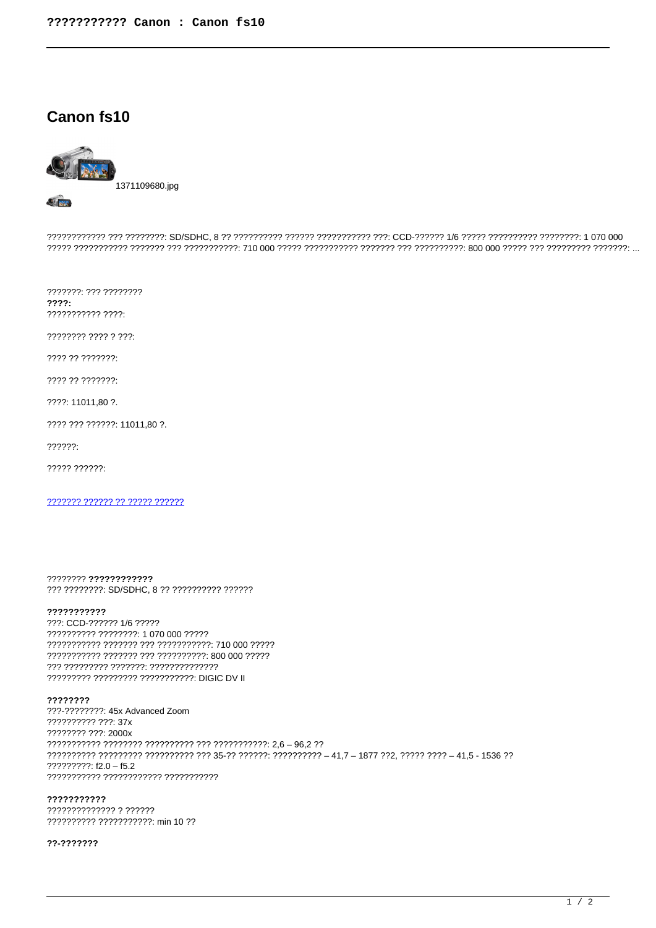# Canon fs10



????????????? ??? ????????: SD/SDHC, 8 ?? ????????? ?????? ??????????? ???: CCD-?????? 1/6 ????? ?????????? ????????: 1 070 000 

???????: ??? ????????  $777?:$ ??????????? ????

???????? ???? ? ???:

???? ?? ???????:

???? ?? ???????:

????: 11011.80 ?.

???? ??? ??????: 11011,80 ?.

 $22222:$ 

????? ??????:

??????? ?????? ?? ????? ??????

???????? ???????????? ??? ????????: SD/SDHC, 8 ?? ????????? ??????

#### ???????????

???: CCD-?????? 1/6 ????? ?????????? ???????? 1 070 000 ????? ??????????? ??????? ??? ???????????? 710 000 ????? ??????????? ?????? ??? ?????????? 800 000 ????? 777 77777777 7777777: 77777777777777 ????????? ????????? ??????????? DIGIC DV II

### ????????

???-???????? 45x Advanced Zoom ?????????? ???: 37x ???????? ???: 2000x ?????????: f2.0 - f5.2 ??????????? ???????????? ???????????

#### ???????????

?????????????? ? ?????? ?????????? ??????????? min 10 ??

#### ??-???????